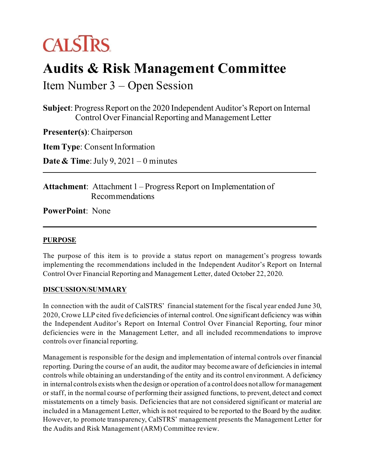# **CALSTRS**

## **Audits & Risk Management Committee**

Item Number 3 – Open Session

**Subject**: Progress Report on the 2020 Independent Auditor's Report on Internal Control Over Financial Reporting and Management Letter

**Presenter(s)**: Chairperson

**Item Type**: Consent Information

**Date & Time**: July 9, 2021 – 0 minutes

**Attachment**: Attachment 1 – Progress Report on Implementation of Recommendations

**PowerPoint**: None

### **PURPOSE**

The purpose of this item is to provide a status report on management's progress towards implementing the recommendations included in the Independent Auditor's Report on Internal Control Over Financial Reporting and Management Letter, dated October 22, 2020.

### **DISCUSSION/SUMMARY**

In connection with the audit of CalSTRS' financial statement for the fiscal year ended June 30, 2020, Crowe LLP cited five deficiencies of internal control. One significant deficiency was within the Independent Auditor's Report on Internal Control Over Financial Reporting, four minor deficiencies were in the Management Letter, and all included recommendations to improve controls over financial reporting.

Management is responsible for the design and implementation of internal controls over financial reporting. During the course of an audit, the auditor may become aware of deficiencies in internal controls while obtaining an understanding of the entity and its control environment. A deficiency in internal controls exists when the design or operation of a control does not allow for management or staff, in the normal course of performing their assigned functions, to prevent, detect and correct misstatements on a timely basis. Deficiencies that are not considered significant or material are included in a Management Letter, which is not required to be reported to the Board by the auditor. However, to promote transparency, CalSTRS' management presents the Management Letter for the Audits and Risk Management (ARM) Committee review.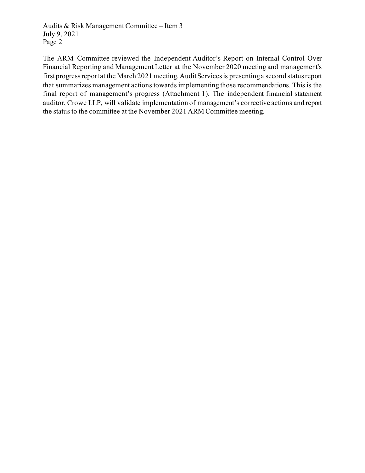Audits & Risk Management Committee – Item 3 July 9, 2021 Page 2

The ARM Committee reviewed the Independent Auditor's Report on Internal Control Over Financial Reporting and Management Letter at the November 2020 meeting and management's first progress report at the March 2021 meeting. Audit Services is presenting a second status report that summarizes management actions towards implementing those recommendations. This is the final report of management's progress (Attachment 1). The independent financial statement auditor, Crowe LLP, will validate implementation of management's corrective actions and report the status to the committee at the November 2021 ARM Committee meeting.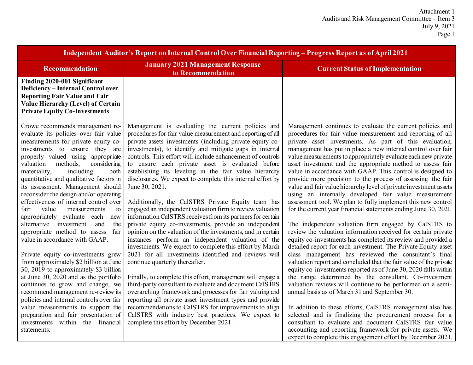| Independent Auditor's Report on Internal Control Over Financial Reporting - Progress Report as of April 2021                                                                                                                                                                                                                                                                                                                                                                                                                                                                                                                                                                                                                                                                                                                                                                                                                                                        |                                                                                                                                                                                                                                                                                                                                                                                                                                                                                                                                                                                                                                                                                                                                                                                                                                                                                                                                                                                                                                                                                                                                                                                                                                                                                                                              |                                                                                                                                                                                                                                                                                                                                                                                                                                                                                                                                                                                                                                                                                                                                                                                                                                                                                                                                                                                                                                                                                                                                                                                                                                                                                                                                                                                                                                                                               |  |
|---------------------------------------------------------------------------------------------------------------------------------------------------------------------------------------------------------------------------------------------------------------------------------------------------------------------------------------------------------------------------------------------------------------------------------------------------------------------------------------------------------------------------------------------------------------------------------------------------------------------------------------------------------------------------------------------------------------------------------------------------------------------------------------------------------------------------------------------------------------------------------------------------------------------------------------------------------------------|------------------------------------------------------------------------------------------------------------------------------------------------------------------------------------------------------------------------------------------------------------------------------------------------------------------------------------------------------------------------------------------------------------------------------------------------------------------------------------------------------------------------------------------------------------------------------------------------------------------------------------------------------------------------------------------------------------------------------------------------------------------------------------------------------------------------------------------------------------------------------------------------------------------------------------------------------------------------------------------------------------------------------------------------------------------------------------------------------------------------------------------------------------------------------------------------------------------------------------------------------------------------------------------------------------------------------|-------------------------------------------------------------------------------------------------------------------------------------------------------------------------------------------------------------------------------------------------------------------------------------------------------------------------------------------------------------------------------------------------------------------------------------------------------------------------------------------------------------------------------------------------------------------------------------------------------------------------------------------------------------------------------------------------------------------------------------------------------------------------------------------------------------------------------------------------------------------------------------------------------------------------------------------------------------------------------------------------------------------------------------------------------------------------------------------------------------------------------------------------------------------------------------------------------------------------------------------------------------------------------------------------------------------------------------------------------------------------------------------------------------------------------------------------------------------------------|--|
| <b>Recommendation</b>                                                                                                                                                                                                                                                                                                                                                                                                                                                                                                                                                                                                                                                                                                                                                                                                                                                                                                                                               | <b>January 2021 Management Response</b><br>to Recommendation                                                                                                                                                                                                                                                                                                                                                                                                                                                                                                                                                                                                                                                                                                                                                                                                                                                                                                                                                                                                                                                                                                                                                                                                                                                                 | <b>Current Status of Implementation</b>                                                                                                                                                                                                                                                                                                                                                                                                                                                                                                                                                                                                                                                                                                                                                                                                                                                                                                                                                                                                                                                                                                                                                                                                                                                                                                                                                                                                                                       |  |
| Finding 2020-001 Significant<br><b>Deficiency - Internal Control over</b><br><b>Reporting Fair Value and Fair</b><br>Value Hierarchy (Level) of Certain<br><b>Private Equity Co-Investments</b>                                                                                                                                                                                                                                                                                                                                                                                                                                                                                                                                                                                                                                                                                                                                                                     |                                                                                                                                                                                                                                                                                                                                                                                                                                                                                                                                                                                                                                                                                                                                                                                                                                                                                                                                                                                                                                                                                                                                                                                                                                                                                                                              |                                                                                                                                                                                                                                                                                                                                                                                                                                                                                                                                                                                                                                                                                                                                                                                                                                                                                                                                                                                                                                                                                                                                                                                                                                                                                                                                                                                                                                                                               |  |
| Crowe recommends management re-<br>evaluate its policies over fair value<br>measurements for private equity co-<br>investments to ensure they are<br>properly valued using appropriate<br>considering<br>valuation<br>methods,<br>materiality,<br>including<br>both<br>quantitative and qualitative factors in<br>its assessment. Management should<br>reconsider the design and/or operating<br>effectiveness of internal control over<br>value<br>measurements<br>fair<br>to<br>appropriately evaluate each<br>new<br>alternative investment<br>and<br>the<br>appropriate method to assess<br>fair<br>value in accordance with GAAP.<br>Private equity co-investments grew<br>from approximately \$2 billion at June<br>30, 2019 to approximately \$3 billion<br>at June 30, 2020 and as the portfolio<br>continues to grow and change, we<br>recommend management re-review its<br>policies and internal controls over fair<br>value measurements to support the | Management is evaluating the current policies and<br>procedures for fair value measurement and reporting of all<br>private assets investments (including private equity co-<br>investments), to identify and mitigate gaps in internal<br>controls. This effort will include enhancement of controls<br>to ensure each private asset is evaluated before<br>establishing its leveling in the fair value hierarchy<br>disclosures. We expect to complete this internal effort by<br>June 30, 2021.<br>Additionally, the CalSTRS Private Equity team has<br>engaged an independent valuation firm to review valuation<br>information CalSTRS receives from its partners for certain<br>private equity co-investments, provide an independent<br>opinion on the valuation of the investments, and in certain<br>instances perform an independent valuation of the<br>investments. We expect to complete this effort by March<br>2021 for all investments identified and reviews will<br>continue quarterly thereafter.<br>Finally, to complete this effort, management will engage a<br>third-party consultant to evaluate and document CalSTRS<br>overarching framework and processes for fair valuing and<br>reporting all private asset investment types and provide<br>recommendations to CalSTRS for improvements to align | Management continues to evaluate the current policies and<br>procedures for fair value measurement and reporting of all<br>private asset investments. As part of this evaluation,<br>management has put in place a new internal control over fair<br>value measurements to appropriately evaluate each new private<br>asset investment and the appropriate method to assess fair<br>value in accordance with GAAP. This control is designed to<br>provide more precision to the process of assessing the fair<br>value and fair value hierarchy level of private investment assets<br>using an internally developed fair value measurement<br>assessment tool. We plan to fully implement this new control<br>for the current year financial statements ending June 30, 2021.<br>The independent valuation firm engaged by CalSTRS to<br>review the valuation information received for certain private<br>equity co-investments has completed its review and provided a<br>detailed report for each investment. The Private Equity asset<br>class management has reviewed the consultant's final<br>valuation report and concluded that the fair value of the private<br>equity co-investments reported as of June 30, 2020 falls within<br>the range determined by the consultant. Co-investment<br>valuation reviews will continue to be performed on a semi-<br>annual basis as of March 31 and September 30.<br>In addition to these efforts, CalSTRS management also has |  |
| preparation and fair presentation of<br>investments within the financial<br>statements.                                                                                                                                                                                                                                                                                                                                                                                                                                                                                                                                                                                                                                                                                                                                                                                                                                                                             | CalSTRS with industry best practices. We expect to<br>complete this effort by December 2021.                                                                                                                                                                                                                                                                                                                                                                                                                                                                                                                                                                                                                                                                                                                                                                                                                                                                                                                                                                                                                                                                                                                                                                                                                                 | selected and is finalizing the procurement process for a<br>consultant to evaluate and document CalSTRS fair value<br>accounting and reporting framework for private assets. We<br>expect to complete this engagement effort by December 2021.                                                                                                                                                                                                                                                                                                                                                                                                                                                                                                                                                                                                                                                                                                                                                                                                                                                                                                                                                                                                                                                                                                                                                                                                                                |  |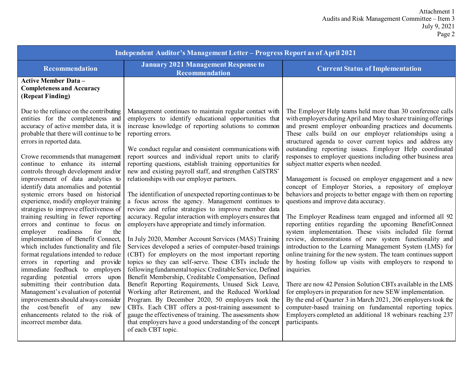| Independent Auditor's Management Letter - Progress Report as of April 2021                                                                                                                                                                                                                                                                                                                                                                                                                                                                                                                                                                                                                                                                                                                                                                                                                                                                                                                                                                                                                  |                                                                                                                                                                                                                                                                                                                                                                                                                                                                                                                                                                                                                                                                                                                                                                                                                                                                                                                                                                                                                                                                                                                                                                                                                                                                                                                                                                                                                                                                                       |                                                                                                                                                                                                                                                                                                                                                                                                                                                                                                                                                                                                                                                                                                                                                                                                                                                                                                                                                                                                                                                                                                                                                                                                                                                                                                                                                                                                                                                                                                               |  |
|---------------------------------------------------------------------------------------------------------------------------------------------------------------------------------------------------------------------------------------------------------------------------------------------------------------------------------------------------------------------------------------------------------------------------------------------------------------------------------------------------------------------------------------------------------------------------------------------------------------------------------------------------------------------------------------------------------------------------------------------------------------------------------------------------------------------------------------------------------------------------------------------------------------------------------------------------------------------------------------------------------------------------------------------------------------------------------------------|---------------------------------------------------------------------------------------------------------------------------------------------------------------------------------------------------------------------------------------------------------------------------------------------------------------------------------------------------------------------------------------------------------------------------------------------------------------------------------------------------------------------------------------------------------------------------------------------------------------------------------------------------------------------------------------------------------------------------------------------------------------------------------------------------------------------------------------------------------------------------------------------------------------------------------------------------------------------------------------------------------------------------------------------------------------------------------------------------------------------------------------------------------------------------------------------------------------------------------------------------------------------------------------------------------------------------------------------------------------------------------------------------------------------------------------------------------------------------------------|---------------------------------------------------------------------------------------------------------------------------------------------------------------------------------------------------------------------------------------------------------------------------------------------------------------------------------------------------------------------------------------------------------------------------------------------------------------------------------------------------------------------------------------------------------------------------------------------------------------------------------------------------------------------------------------------------------------------------------------------------------------------------------------------------------------------------------------------------------------------------------------------------------------------------------------------------------------------------------------------------------------------------------------------------------------------------------------------------------------------------------------------------------------------------------------------------------------------------------------------------------------------------------------------------------------------------------------------------------------------------------------------------------------------------------------------------------------------------------------------------------------|--|
| Recommendation                                                                                                                                                                                                                                                                                                                                                                                                                                                                                                                                                                                                                                                                                                                                                                                                                                                                                                                                                                                                                                                                              | <b>January 2021 Management Response to</b><br>Recommendation                                                                                                                                                                                                                                                                                                                                                                                                                                                                                                                                                                                                                                                                                                                                                                                                                                                                                                                                                                                                                                                                                                                                                                                                                                                                                                                                                                                                                          | <b>Current Status of Implementation</b>                                                                                                                                                                                                                                                                                                                                                                                                                                                                                                                                                                                                                                                                                                                                                                                                                                                                                                                                                                                                                                                                                                                                                                                                                                                                                                                                                                                                                                                                       |  |
| <b>Active Member Data -</b><br><b>Completeness and Accuracy</b><br>(Repeat Finding)                                                                                                                                                                                                                                                                                                                                                                                                                                                                                                                                                                                                                                                                                                                                                                                                                                                                                                                                                                                                         |                                                                                                                                                                                                                                                                                                                                                                                                                                                                                                                                                                                                                                                                                                                                                                                                                                                                                                                                                                                                                                                                                                                                                                                                                                                                                                                                                                                                                                                                                       |                                                                                                                                                                                                                                                                                                                                                                                                                                                                                                                                                                                                                                                                                                                                                                                                                                                                                                                                                                                                                                                                                                                                                                                                                                                                                                                                                                                                                                                                                                               |  |
| Due to the reliance on the contributing<br>entities for the completeness and<br>accuracy of active member data, it is<br>probable that there will continue to be<br>errors in reported data.<br>Crowe recommends that management<br>continue to enhance its internal<br>controls through development and/or<br>improvement of data analytics to<br>identify data anomalies and potential<br>systemic errors based on historical<br>experience, modify employer training<br>strategies to improve effectiveness of<br>training resulting in fewer reporting<br>errors and continue to focus on<br>readiness<br>for<br>the<br>employer<br>implementation of Benefit Connect,<br>which includes functionality and file<br>format regulations intended to reduce<br>errors in reporting and provide<br>immediate feedback to employers<br>regarding potential errors upon<br>submitting their contribution data.<br>Management's evaluation of potential<br>improvements should always consider<br>the cost/benefit of any new<br>enhancements related to the risk of<br>incorrect member data. | Management continues to maintain regular contact with<br>employers to identify educational opportunities that<br>increase knowledge of reporting solutions to common<br>reporting errors.<br>We conduct regular and consistent communications with<br>report sources and individual report units to clarify<br>reporting questions, establish training opportunities for<br>new and existing payroll staff, and strengthen CalSTRS'<br>relationships with our employer partners.<br>The identification of unexpected reporting continues to be<br>a focus across the agency. Management continues to<br>review and refine strategies to improve member data<br>accuracy. Regular interaction with employers ensures that<br>employers have appropriate and timely information.<br>In July 2020, Member Account Services (MAS) Training<br>Services developed a series of computer-based trainings<br>(CBT) for employers on the most important reporting<br>topics so they can self-serve. These CBTs include the<br>following fundamental topics: Creditable Service, Defined<br>Benefit Membership, Creditable Compensation, Defined<br>Benefit Reporting Requirements, Unused Sick Leave,<br>Working after Retirement, and the Reduced Workload<br>Program. By December 2020, 50 employers took the<br>CBTs. Each CBT offers a post-training assessment to<br>gauge the effectiveness of training. The assessments show<br>that employers have a good understanding of the concept | The Employer Help teams held more than 30 conference calls<br>with employers during April and May to share training offerings<br>and present employer onboarding practices and documents.<br>These calls build on our employer relationships using a<br>structured agenda to cover current topics and address any<br>outstanding reporting issues. Employer Help coordinated<br>responses to employer questions including other business area<br>subject matter experts when needed.<br>Management is focused on employer engagement and a new<br>concept of Employer Stories, a repository of employer<br>behaviors and projects to better engage with them on reporting<br>questions and improve data accuracy.<br>The Employer Readiness team engaged and informed all 92<br>reporting entities regarding the upcoming BenefitConnect<br>system implementation. These visits included file format<br>review, demonstrations of new system functionality and<br>introduction to the Learning Management System (LMS) for<br>online training for the new system. The team continues support<br>by hosting follow up visits with employers to respond to<br>inquiries.<br>There are now 42 Pension Solution CBTs available in the LMS<br>for employers in preparation for new SEW implementation.<br>By the end of Quarter 3 in March 2021, 206 employers took the<br>computer-based training on fundamental reporting topics.<br>Employers completed an additional 18 webinars reaching 237<br>participants. |  |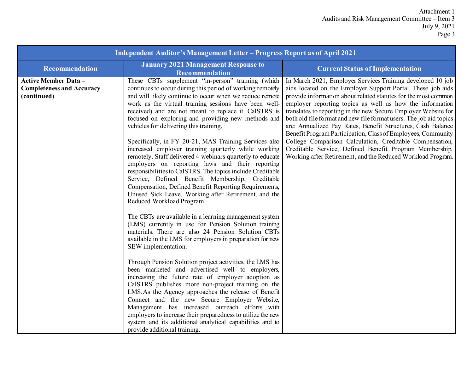#### Attachment 1 Audits and Risk Management Committee – Item 3 July 9, 2021 Page 3

| <b>Independent Auditor's Management Letter - Progress Report as of April 2021</b> |                                                                                                                                                                                                                                                                                                                                                                                                                                                                                                                                                                                                                                                                                                                                                                                                                                                                                            |                                                                                                                                                                                                                                                                                                                                                                                                                                                                                                                                                                                                                                                                                                                      |  |
|-----------------------------------------------------------------------------------|--------------------------------------------------------------------------------------------------------------------------------------------------------------------------------------------------------------------------------------------------------------------------------------------------------------------------------------------------------------------------------------------------------------------------------------------------------------------------------------------------------------------------------------------------------------------------------------------------------------------------------------------------------------------------------------------------------------------------------------------------------------------------------------------------------------------------------------------------------------------------------------------|----------------------------------------------------------------------------------------------------------------------------------------------------------------------------------------------------------------------------------------------------------------------------------------------------------------------------------------------------------------------------------------------------------------------------------------------------------------------------------------------------------------------------------------------------------------------------------------------------------------------------------------------------------------------------------------------------------------------|--|
| Recommendation                                                                    | <b>January 2021 Management Response to</b><br><b>Recommendation</b>                                                                                                                                                                                                                                                                                                                                                                                                                                                                                                                                                                                                                                                                                                                                                                                                                        | <b>Current Status of Implementation</b>                                                                                                                                                                                                                                                                                                                                                                                                                                                                                                                                                                                                                                                                              |  |
| <b>Active Member Data -</b><br><b>Completeness and Accuracy</b><br>(continued)    | These CBTs supplement "in-person" training (which<br>continues to occur during this period of working remotely<br>and will likely continue to occur when we reduce remote<br>work as the virtual training sessions have been well-<br>received) and are not meant to replace it. CalSTRS is<br>focused on exploring and providing new methods and<br>vehicles for delivering this training.<br>Specifically, in FY 20-21, MAS Training Services also<br>increased employer training quarterly while working<br>remotely. Staff delivered 4 webinars quarterly to educate<br>employers on reporting laws and their reporting<br>responsibilities to CalSTRS. The topics include Creditable<br>Service, Defined Benefit Membership, Creditable<br>Compensation, Defined Benefit Reporting Requirements,<br>Unused Sick Leave, Working after Retirement, and the<br>Reduced Workload Program. | In March 2021, Employer Services Training developed 10 job<br>aids located on the Employer Support Portal. These job aids<br>provide information about related statutes for the most common<br>employer reporting topics as well as how the information<br>translates to reporting in the new Secure Employer Website for<br>both old file format and new file format users. The job aid topics<br>are: Annualized Pay Rates, Benefit Structures, Cash Balance<br>Benefit Program Participation, Class of Employees, Community<br>College Comparison Calculation, Creditable Compensation,<br>Creditable Service, Defined Benefit Program Membership,<br>Working after Retirement, and the Reduced Workload Program. |  |
|                                                                                   | The CBTs are available in a learning management system<br>(LMS) currently in use for Pension Solution training<br>materials. There are also 24 Pension Solution CBTs<br>available in the LMS for employers in preparation for new<br>SEW implementation.<br>Through Pension Solution project activities, the LMS has<br>been marketed and advertised well to employers,<br>increasing the future rate of employer adoption as<br>CalSTRS publishes more non-project training on the<br>LMS.As the Agency approaches the release of Benefit<br>Connect and the new Secure Employer Website,<br>Management has increased outreach efforts with<br>employers to increase their preparedness to utilize the new<br>system and its additional analytical capabilities and to<br>provide additional training.                                                                                    |                                                                                                                                                                                                                                                                                                                                                                                                                                                                                                                                                                                                                                                                                                                      |  |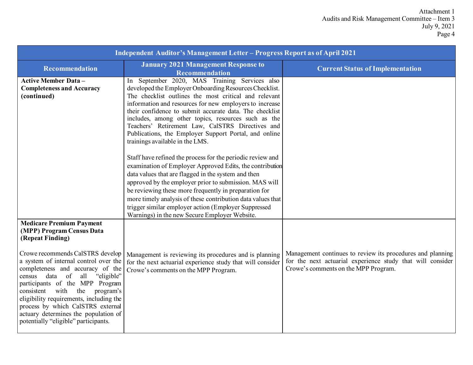| Independent Auditor's Management Letter - Progress Report as of April 2021                                                                                                                                                                                                                                                                                                                                                                                                               |                                                                                                                                                                                                                                                                                                                                                                                                                                                                                               |                                                                                                                                                                  |  |
|------------------------------------------------------------------------------------------------------------------------------------------------------------------------------------------------------------------------------------------------------------------------------------------------------------------------------------------------------------------------------------------------------------------------------------------------------------------------------------------|-----------------------------------------------------------------------------------------------------------------------------------------------------------------------------------------------------------------------------------------------------------------------------------------------------------------------------------------------------------------------------------------------------------------------------------------------------------------------------------------------|------------------------------------------------------------------------------------------------------------------------------------------------------------------|--|
| <b>Recommendation</b>                                                                                                                                                                                                                                                                                                                                                                                                                                                                    | <b>January 2021 Management Response to</b><br>Recommendation                                                                                                                                                                                                                                                                                                                                                                                                                                  | <b>Current Status of Implementation</b>                                                                                                                          |  |
| <b>Active Member Data-</b><br><b>Completeness and Accuracy</b><br>(continued)                                                                                                                                                                                                                                                                                                                                                                                                            | In September 2020, MAS Training Services also<br>developed the Employer Onboarding Resources Checklist.<br>The checklist outlines the most critical and relevant<br>information and resources for new employers to increase<br>their confidence to submit accurate data. The checklist<br>includes, among other topics, resources such as the<br>Teachers' Retirement Law, CalSTRS Directives and<br>Publications, the Employer Support Portal, and online<br>trainings available in the LMS. |                                                                                                                                                                  |  |
|                                                                                                                                                                                                                                                                                                                                                                                                                                                                                          | Staff have refined the process for the periodic review and<br>examination of Employer Approved Edits, the contribution<br>data values that are flagged in the system and then<br>approved by the employer prior to submission. MAS will<br>be reviewing these more frequently in preparation for<br>more timely analysis of these contribution data values that<br>trigger similar employer action (Employer Suppressed<br>Warnings) in the new Secure Employer Website.                      |                                                                                                                                                                  |  |
| <b>Medicare Premium Payment</b><br>(MPP) Program Census Data<br>(Repeat Finding)<br>Crowe recommends CalSTRS develop<br>a system of internal control over the<br>completeness and accuracy of the<br>data of<br>"eligible"<br>all<br>census<br>participants of the MPP Program<br>with<br>the<br>program's<br>consistent<br>eligibility requirements, including the<br>process by which CalSTRS external<br>actuary determines the population of<br>potentially "eligible" participants. | Management is reviewing its procedures and is planning<br>for the next actuarial experience study that will consider<br>Crowe's comments on the MPP Program.                                                                                                                                                                                                                                                                                                                                  | Management continues to review its procedures and planning<br>for the next actuarial experience study that will consider<br>Crowe's comments on the MPP Program. |  |